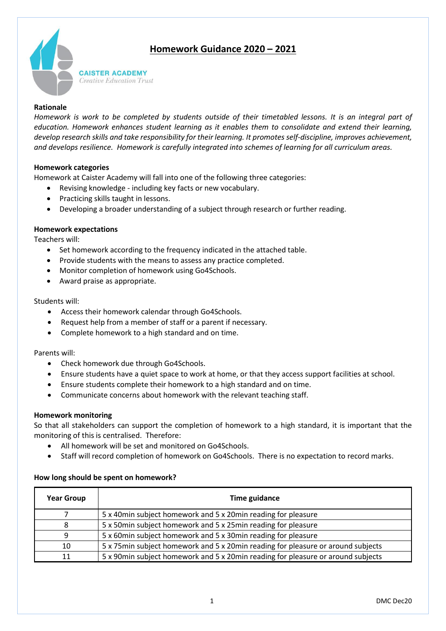# **Homework Guidance 2020 – 2021**



**CAISTER ACADEMY** *Creative Education Trust* 

## **Rationale**

*Homework is work to be completed by students outside of their timetabled lessons. It is an integral part of education. Homework enhances student learning as it enables them to consolidate and extend their learning, develop research skills and take responsibility for their learning. It promotes self-discipline, improves achievement, and develops resilience. Homework is carefully integrated into schemes of learning for all curriculum areas.*

# **Homework categories**

Homework at Caister Academy will fall into one of the following three categories:

- Revising knowledge including key facts or new vocabulary.
- Practicing skills taught in lessons.
- Developing a broader understanding of a subject through research or further reading.

#### **Homework expectations**

Teachers will:

- Set homework according to the frequency indicated in the attached table.
- Provide students with the means to assess any practice completed.
- Monitor completion of homework using Go4Schools.
- Award praise as appropriate.

#### Students will:

- Access their homework calendar through Go4Schools.
- Request help from a member of staff or a parent if necessary.
- Complete homework to a high standard and on time.

Parents will:

- Check homework due through Go4Schools.
- Ensure students have a quiet space to work at home, or that they access support facilities at school.
- Ensure students complete their homework to a high standard and on time.
- Communicate concerns about homework with the relevant teaching staff.

#### **Homework monitoring**

So that all stakeholders can support the completion of homework to a high standard, it is important that the monitoring of this is centralised. Therefore:

- All homework will be set and monitored on Go4Schools.
- Staff will record completion of homework on Go4Schools. There is no expectation to record marks.

#### **How long should be spent on homework?**

| <b>Year Group</b> | Time guidance                                                                    |  |  |
|-------------------|----------------------------------------------------------------------------------|--|--|
|                   | 5 x 40min subject homework and 5 x 20min reading for pleasure                    |  |  |
| 8                 | 5 x 50min subject homework and 5 x 25min reading for pleasure                    |  |  |
| 9                 | 5 x 60min subject homework and 5 x 30min reading for pleasure                    |  |  |
| 10                | 5 x 75min subject homework and 5 x 20min reading for pleasure or around subjects |  |  |
| 11                | 5 x 90min subject homework and 5 x 20min reading for pleasure or around subjects |  |  |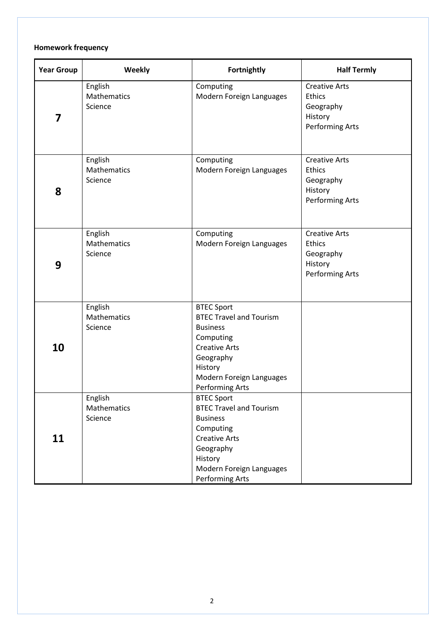# **Homework frequency**

| <b>Year Group</b> | Weekly                            | Fortnightly                                                                                                                                                                        | <b>Half Termly</b>                                                               |
|-------------------|-----------------------------------|------------------------------------------------------------------------------------------------------------------------------------------------------------------------------------|----------------------------------------------------------------------------------|
| 7                 | English<br>Mathematics<br>Science | Computing<br>Modern Foreign Languages                                                                                                                                              | <b>Creative Arts</b><br>Ethics<br>Geography<br>History<br><b>Performing Arts</b> |
| 8                 | English<br>Mathematics<br>Science | Computing<br>Modern Foreign Languages                                                                                                                                              | <b>Creative Arts</b><br>Ethics<br>Geography<br>History<br>Performing Arts        |
| 9                 | English<br>Mathematics<br>Science | Computing<br>Modern Foreign Languages                                                                                                                                              | <b>Creative Arts</b><br>Ethics<br>Geography<br>History<br><b>Performing Arts</b> |
| 10                | English<br>Mathematics<br>Science | <b>BTEC Sport</b><br><b>BTEC Travel and Tourism</b><br><b>Business</b><br>Computing<br><b>Creative Arts</b><br>Geography<br>History<br>Modern Foreign Languages<br>Performing Arts |                                                                                  |
| 11                | English<br>Mathematics<br>Science | <b>BTEC Sport</b><br><b>BTEC Travel and Tourism</b><br><b>Business</b><br>Computing<br><b>Creative Arts</b><br>Geography<br>History<br>Modern Foreign Languages<br>Performing Arts |                                                                                  |